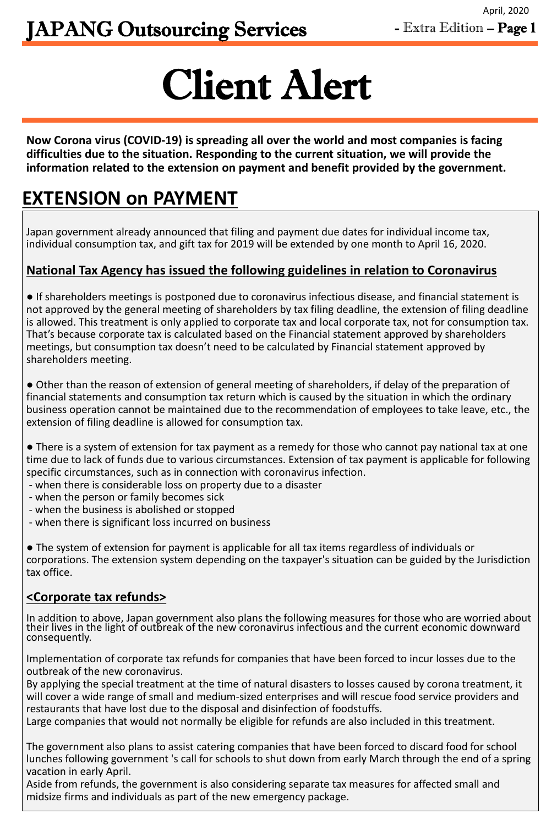# Client Alert

Japan government already announced that filing and payment due dates for individual income tax, individual consumption tax, and gift tax for 2019 will be extended by one month to April 16, 2020.

## **National Tax Agency has issued the following guidelines in relation to Coronavirus**

● If shareholders meetings is postponed due to coronavirus infectious disease, and financial statement is not approved by the general meeting of shareholders by tax filing deadline, the extension of filing deadline is allowed. This treatment is only applied to corporate tax and local corporate tax, not for consumption tax. That's because corporate tax is calculated based on the Financial statement approved by shareholders meetings, but consumption tax doesn't need to be calculated by Financial statement approved by shareholders meeting.

● Other than the reason of extension of general meeting of shareholders, if delay of the preparation of financial statements and consumption tax return which is caused by the situation in which the ordinary business operation cannot be maintained due to the recommendation of employees to take leave, etc., the extension of filing deadline is allowed for consumption tax.

● There is a system of extension for tax payment as a remedy for those who cannot pay national tax at one time due to lack of funds due to various circumstances. Extension of tax payment is applicable for following specific circumstances, such as in connection with coronavirus infection.

- when there is considerable loss on property due to a disaster
- when the person or family becomes sick
- when the business is abolished or stopped

- when there is significant loss incurred on business

● The system of extension for payment is applicable for all tax items regardless of individuals or corporations. The extension system depending on the taxpayer's situation can be guided by the Jurisdiction tax office.

#### **<Corporate tax refunds>**

In addition to above, Japan government also plans the following measures for those who are worried about their lives in the light of outbreak of the new coronavirus infectious and the current economic downward consequently.

Implementation of corporate tax refunds for companies that have been forced to incur losses due to the outbreak of the new coronavirus.

By applying the special treatment at the time of natural disasters to losses caused by corona treatment, it will cover a wide range of small and medium-sized enterprises and will rescue food service providers and restaurants that have lost due to the disposal and disinfection of foodstuffs.

Large companies that would not normally be eligible for refunds are also included in this treatment.

The government also plans to assist catering companies that have been forced to discard food for school lunches following government 's call for schools to shut down from early March through the end of a spring vacation in early April.

Aside from refunds, the government is also considering separate tax measures for affected small and midsize firms and individuals as part of the new emergency package.

**Now Corona virus (COVID-19) is spreading all over the world and most companies is facing difficulties due to the situation. Responding to the current situation, we will provide the information related to the extension on payment and benefit provided by the government.** 

# **EXTENSION on PAYMENT**